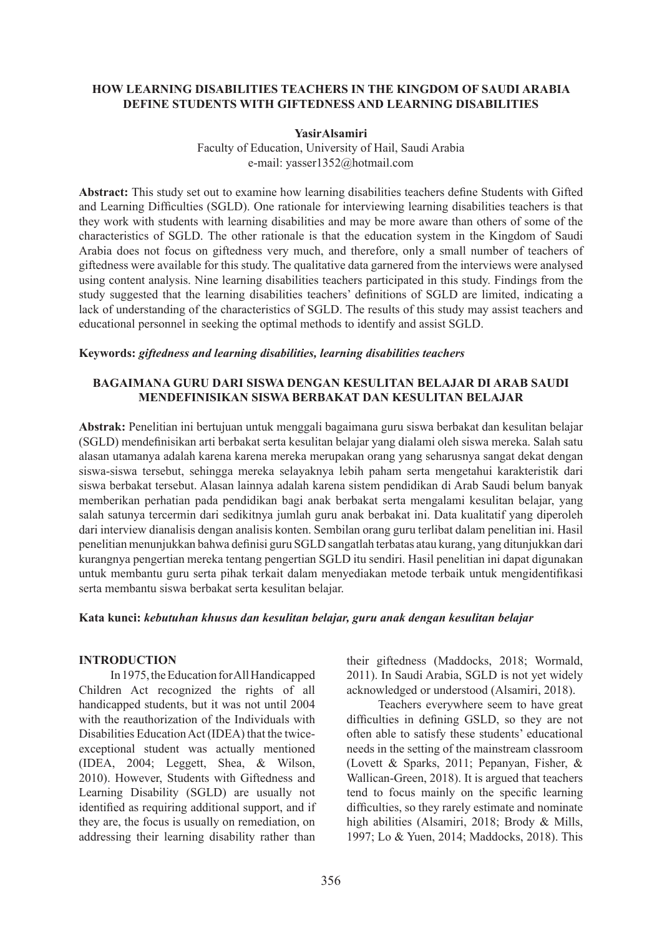## **HOW LEARNING DISABILITIES TEACHERS IN THE KINGDOM OF SAUDI ARABIA DEFINE STUDENTS WITH GIFTEDNESS AND LEARNING DISABILITIES**

### **YasirAlsamiri**

Faculty of Education, University of Hail, Saudi Arabia e-mail: yasser1352@hotmail.com

**Abstract:** This study set out to examine how learning disabilities teachers define Students with Gifted and Learning Difficulties (SGLD). One rationale for interviewing learning disabilities teachers is that they work with students with learning disabilities and may be more aware than others of some of the characteristics of SGLD. The other rationale is that the education system in the Kingdom of Saudi Arabia does not focus on giftedness very much, and therefore, only a small number of teachers of giftedness were available for this study. The qualitative data garnered from the interviews were analysed using content analysis. Nine learning disabilities teachers participated in this study. Findings from the study suggested that the learning disabilities teachers' definitions of SGLD are limited, indicating a lack of understanding of the characteristics of SGLD. The results of this study may assist teachers and educational personnel in seeking the optimal methods to identify and assist SGLD.

## **Keywords:** *giftedness and learning disabilities, learning disabilities teachers*

## **BAGAIMANA GURU DARI SISWA DENGAN KESULITAN BELAJAR DI ARAB SAUDI MENDEFINISIKAN SISWA BERBAKAT DAN KESULITAN BELAJAR**

**Abstrak:** Penelitian ini bertujuan untuk menggali bagaimana guru siswa berbakat dan kesulitan belajar (SGLD) mendefinisikan arti berbakat serta kesulitan belajar yang dialami oleh siswa mereka. Salah satu alasan utamanya adalah karena karena mereka merupakan orang yang seharusnya sangat dekat dengan siswa-siswa tersebut, sehingga mereka selayaknya lebih paham serta mengetahui karakteristik dari siswa berbakat tersebut. Alasan lainnya adalah karena sistem pendidikan di Arab Saudi belum banyak memberikan perhatian pada pendidikan bagi anak berbakat serta mengalami kesulitan belajar, yang salah satunya tercermin dari sedikitnya jumlah guru anak berbakat ini. Data kualitatif yang diperoleh dari interview dianalisis dengan analisis konten. Sembilan orang guru terlibat dalam penelitian ini. Hasil penelitian menunjukkan bahwa definisi guru SGLD sangatlah terbatas atau kurang, yang ditunjukkan dari kurangnya pengertian mereka tentang pengertian SGLD itu sendiri. Hasil penelitian ini dapat digunakan untuk membantu guru serta pihak terkait dalam menyediakan metode terbaik untuk mengidentifikasi serta membantu siswa berbakat serta kesulitan belajar.

#### **Kata kunci:** *kebutuhan khusus dan kesulitan belajar, guru anak dengan kesulitan belajar*

## **INTRODUCTION**

In 1975, the Education for All Handicapped Children Act recognized the rights of all handicapped students, but it was not until 2004 with the reauthorization of the Individuals with Disabilities Education Act (IDEA) that the twiceexceptional student was actually mentioned (IDEA, 2004; Leggett, Shea, & Wilson, 2010). However, Students with Giftedness and Learning Disability (SGLD) are usually not identified as requiring additional support, and if they are, the focus is usually on remediation, on addressing their learning disability rather than their giftedness (Maddocks, 2018; Wormald, 2011). In Saudi Arabia, SGLD is not yet widely acknowledged or understood (Alsamiri, 2018).

Teachers everywhere seem to have great difficulties in defining GSLD, so they are not often able to satisfy these students' educational needs in the setting of the mainstream classroom (Lovett & Sparks, 2011; Pepanyan, Fisher, & Wallican-Green, 2018). It is argued that teachers tend to focus mainly on the specific learning difficulties, so they rarely estimate and nominate high abilities (Alsamiri, 2018; Brody & Mills, 1997; Lo & Yuen, 2014; Maddocks, 2018). This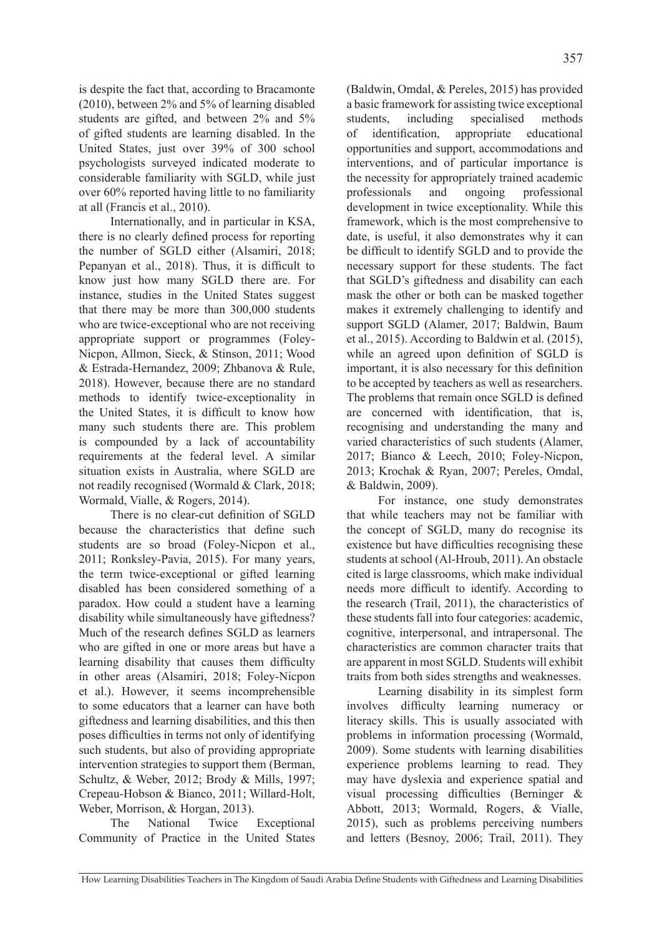is despite the fact that, according to Bracamonte (2010), between 2% and 5% of learning disabled students are gifted, and between 2% and 5% of gifted students are learning disabled. In the United States, just over 39% of 300 school psychologists surveyed indicated moderate to considerable familiarity with SGLD, while just over 60% reported having little to no familiarity at all (Francis et al., 2010).

Internationally, and in particular in KSA, there is no clearly defined process for reporting the number of SGLD either (Alsamiri, 2018; Pepanyan et al., 2018). Thus, it is difficult to know just how many SGLD there are. For instance, studies in the United States suggest that there may be more than 300,000 students who are twice-exceptional who are not receiving appropriate support or programmes (Foley-Nicpon, Allmon, Sieck, & Stinson, 2011; Wood & Estrada-Hernandez, 2009; Zhbanova & Rule, 2018). However, because there are no standard methods to identify twice-exceptionality in the United States, it is difficult to know how many such students there are. This problem is compounded by a lack of accountability requirements at the federal level. A similar situation exists in Australia, where SGLD are not readily recognised (Wormald & Clark, 2018; Wormald, Vialle, & Rogers, 2014).

There is no clear-cut definition of SGLD because the characteristics that define such students are so broad (Foley-Nicpon et al., 2011; Ronksley-Pavia, 2015). For many years, the term twice-exceptional or gifted learning disabled has been considered something of a paradox. How could a student have a learning disability while simultaneously have giftedness? Much of the research defines SGLD as learners who are gifted in one or more areas but have a learning disability that causes them difficulty in other areas (Alsamiri, 2018; Foley-Nicpon et al.). However, it seems incomprehensible to some educators that a learner can have both giftedness and learning disabilities, and this then poses difficulties in terms not only of identifying such students, but also of providing appropriate intervention strategies to support them (Berman, Schultz, & Weber, 2012; Brody & Mills, 1997; Crepeau-Hobson & Bianco, 2011; Willard-Holt, Weber, Morrison, & Horgan, 2013).

The National Twice Exceptional Community of Practice in the United States

(Baldwin, Omdal, & Pereles, 2015) has provided a basic framework for assisting twice exceptional students, including specialised methods of identification, appropriate educational opportunities and support, accommodations and interventions, and of particular importance is the necessity for appropriately trained academic professionals and ongoing professional development in twice exceptionality. While this framework, which is the most comprehensive to date, is useful, it also demonstrates why it can be difficult to identify SGLD and to provide the necessary support for these students. The fact that SGLD's giftedness and disability can each mask the other or both can be masked together makes it extremely challenging to identify and support SGLD (Alamer, 2017; Baldwin, Baum et al., 2015). According to Baldwin et al. (2015), while an agreed upon definition of SGLD is important, it is also necessary for this definition to be accepted by teachers as well as researchers. The problems that remain once SGLD is defined are concerned with identification, that is, recognising and understanding the many and varied characteristics of such students (Alamer, 2017; Bianco & Leech, 2010; Foley-Nicpon, 2013; Krochak & Ryan, 2007; Pereles, Omdal, & Baldwin, 2009).

For instance, one study demonstrates that while teachers may not be familiar with the concept of SGLD, many do recognise its existence but have difficulties recognising these students at school (Al-Hroub, 2011). An obstacle cited is large classrooms, which make individual needs more difficult to identify. According to the research (Trail, 2011), the characteristics of these students fall into four categories: academic, cognitive, interpersonal, and intrapersonal. The characteristics are common character traits that are apparent in most SGLD. Students will exhibit traits from both sides strengths and weaknesses.

Learning disability in its simplest form involves difficulty learning numeracy or literacy skills. This is usually associated with problems in information processing (Wormald, 2009). Some students with learning disabilities experience problems learning to read. They may have dyslexia and experience spatial and visual processing difficulties (Berninger & Abbott, 2013; Wormald, Rogers, & Vialle, 2015), such as problems perceiving numbers and letters (Besnoy, 2006; Trail, 2011). They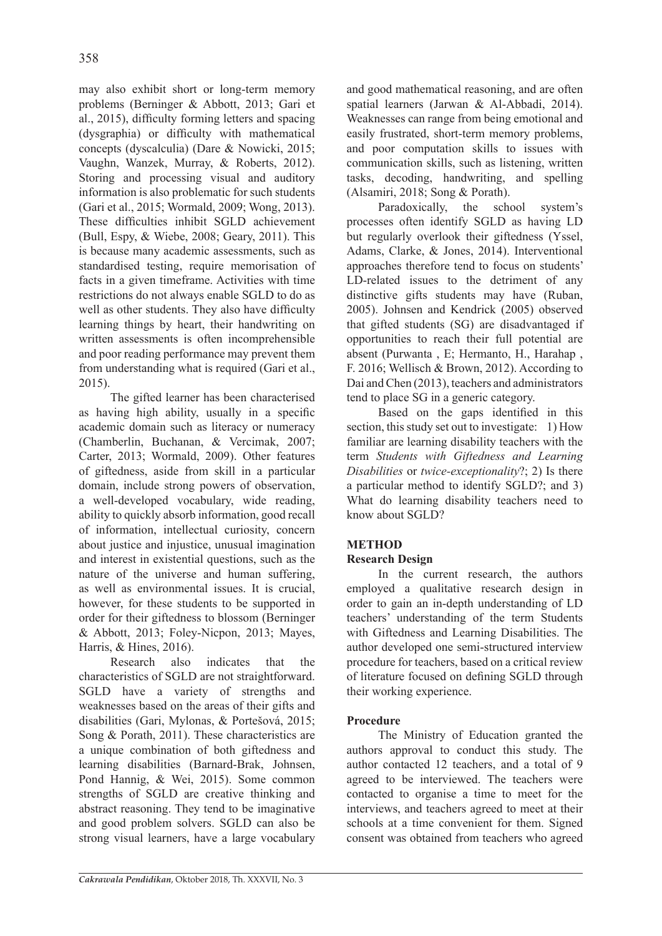may also exhibit short or long-term memory problems (Berninger & Abbott, 2013; Gari et al., 2015), difficulty forming letters and spacing (dysgraphia) or difficulty with mathematical concepts (dyscalculia) (Dare & Nowicki, 2015; Vaughn, Wanzek, Murray, & Roberts, 2012). Storing and processing visual and auditory information is also problematic for such students (Gari et al., 2015; Wormald, 2009; Wong, 2013). These difficulties inhibit SGLD achievement (Bull, Espy, & Wiebe, 2008; Geary, 2011). This is because many academic assessments, such as standardised testing, require memorisation of facts in a given timeframe. Activities with time restrictions do not always enable SGLD to do as well as other students. They also have difficulty learning things by heart, their handwriting on written assessments is often incomprehensible and poor reading performance may prevent them from understanding what is required (Gari et al., 2015).

The gifted learner has been characterised as having high ability, usually in a specific academic domain such as literacy or numeracy (Chamberlin, Buchanan, & Vercimak, 2007; Carter, 2013; Wormald, 2009). Other features of giftedness, aside from skill in a particular domain, include strong powers of observation, a well-developed vocabulary, wide reading, ability to quickly absorb information, good recall of information, intellectual curiosity, concern about justice and injustice, unusual imagination and interest in existential questions, such as the nature of the universe and human suffering, as well as environmental issues. It is crucial, however, for these students to be supported in order for their giftedness to blossom (Berninger & Abbott, 2013; Foley-Nicpon, 2013; Mayes, Harris, & Hines, 2016).

Research also indicates that the characteristics of SGLD are not straightforward. SGLD have a variety of strengths and weaknesses based on the areas of their gifts and disabilities (Gari, Mylonas, & Portešová, 2015; Song & Porath, 2011). These characteristics are a unique combination of both giftedness and learning disabilities (Barnard-Brak, Johnsen, Pond Hannig, & Wei, 2015). Some common strengths of SGLD are creative thinking and abstract reasoning. They tend to be imaginative and good problem solvers. SGLD can also be strong visual learners, have a large vocabulary and good mathematical reasoning, and are often spatial learners (Jarwan & Al-Abbadi, 2014). Weaknesses can range from being emotional and easily frustrated, short-term memory problems, and poor computation skills to issues with communication skills, such as listening, written tasks, decoding, handwriting, and spelling (Alsamiri, 2018; Song & Porath).

Paradoxically, the school system's processes often identify SGLD as having LD but regularly overlook their giftedness (Yssel, Adams, Clarke, & Jones, 2014). Interventional approaches therefore tend to focus on students' LD-related issues to the detriment of any distinctive gifts students may have (Ruban, 2005). Johnsen and Kendrick (2005) observed that gifted students (SG) are disadvantaged if opportunities to reach their full potential are absent (Purwanta , E; Hermanto, H., Harahap , F. 2016; Wellisch & Brown, 2012). According to Dai and Chen (2013), teachers and administrators tend to place SG in a generic category.

Based on the gaps identified in this section, this study set out to investigate: 1) How familiar are learning disability teachers with the term *Students with Giftedness and Learning Disabilities* or *twice-exceptionality*?; 2) Is there a particular method to identify SGLD?; and 3) What do learning disability teachers need to know about SGLD?

# **METHOD**

# **Research Design**

In the current research, the authors employed a qualitative research design in order to gain an in-depth understanding of LD teachers' understanding of the term Students with Giftedness and Learning Disabilities. The author developed one semi-structured interview procedure for teachers, based on a critical review of literature focused on defining SGLD through their working experience.

## **Procedure**

The Ministry of Education granted the authors approval to conduct this study. The author contacted 12 teachers, and a total of 9 agreed to be interviewed. The teachers were contacted to organise a time to meet for the interviews, and teachers agreed to meet at their schools at a time convenient for them. Signed consent was obtained from teachers who agreed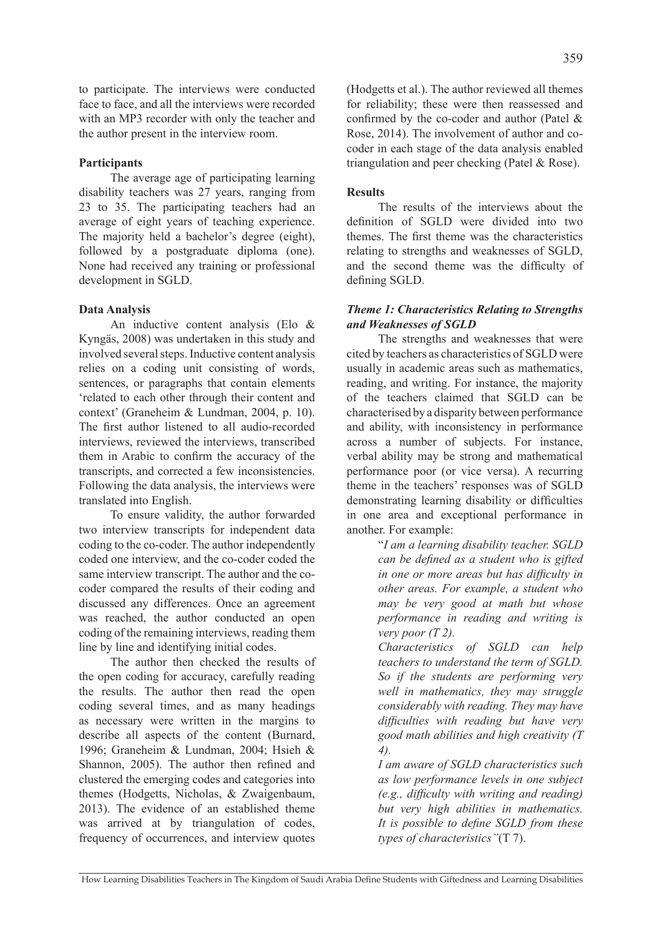to participate. The interviews were conducted face to face, and all the interviews were recorded with an MP3 recorder with only the teacher and the author present in the interview room.

## **Participants**

The average age of participating learning disability teachers was 27 years, ranging from 23 to 35. The participating teachers had an average of eight years of teaching experience. The majority held a bachelor's degree (eight), followed by a postgraduate diploma (one). None had received any training or professional development in SGLD.

#### **Data Analysis**

An inductive content analysis (Elo & Kyngäs, 2008) was undertaken in this study and involved several steps. Inductive content analysis relies on a coding unit consisting of words, sentences, or paragraphs that contain elements 'related to each other through their content and context' (Graneheim & Lundman, 2004, p. 10). The first author listened to all audio-recorded interviews, reviewed the interviews, transcribed them in Arabic to confirm the accuracy of the transcripts, and corrected a few inconsistencies. Following the data analysis, the interviews were translated into English.

To ensure validity, the author forwarded two interview transcripts for independent data coding to the co-coder. The author independently coded one interview, and the co-coder coded the same interview transcript. The author and the cocoder compared the results of their coding and discussed any differences. Once an agreement was reached, the author conducted an open coding of the remaining interviews, reading them line by line and identifying initial codes.

The author then checked the results of the open coding for accuracy, carefully reading the results. The author then read the open coding several times, and as many headings as necessary were written in the margins to describe all aspects of the content (Burnard, 1996; Graneheim & Lundman, 2004; Hsieh & Shannon, 2005). The author then refined and clustered the emerging codes and categories into themes (Hodgetts, Nicholas, & Zwaigenbaum, 2013). The evidence of an established theme was arrived at by triangulation of codes, frequency of occurrences, and interview quotes

(Hodgetts et al.). The author reviewed all themes for reliability; these were then reassessed and confirmed by the co-coder and author (Patel & Rose, 2014). The involvement of author and cocoder in each stage of the data analysis enabled triangulation and peer checking (Patel & Rose).

#### **Results**

The results of the interviews about the definition of SGLD were divided into two themes. The first theme was the characteristics relating to strengths and weaknesses of SGLD, and the second theme was the difficulty of defining SGLD.

## *Theme 1: Characteristics Relating to Strengths and Weaknesses of SGLD*

The strengths and weaknesses that were cited by teachers as characteristics of SGLD were usually in academic areas such as mathematics, reading, and writing. For instance, the majority of the teachers claimed that SGLD can be characterised by a disparity between performance and ability, with inconsistency in performance across a number of subjects. For instance, verbal ability may be strong and mathematical performance poor (or vice versa). A recurring theme in the teachers' responses was of SGLD demonstrating learning disability or difficulties in one area and exceptional performance in another. For example:

> "*I am a learning disability teacher. SGLD can be defined as a student who is gifted in one or more areas but has difficulty in other areas. For example, a student who may be very good at math but whose performance in reading and writing is very poor (T 2).*

> *Characteristics of SGLD can help teachers to understand the term of SGLD. So if the students are performing very well in mathematics, they may struggle considerably with reading. They may have difficulties with reading but have very good math abilities and high creativity (T 4).*

> *I am aware of SGLD characteristics such as low performance levels in one subject (e.g., difficulty with writing and reading) but very high abilities in mathematics. It is possible to define SGLD from these types of characteristics"*(T 7).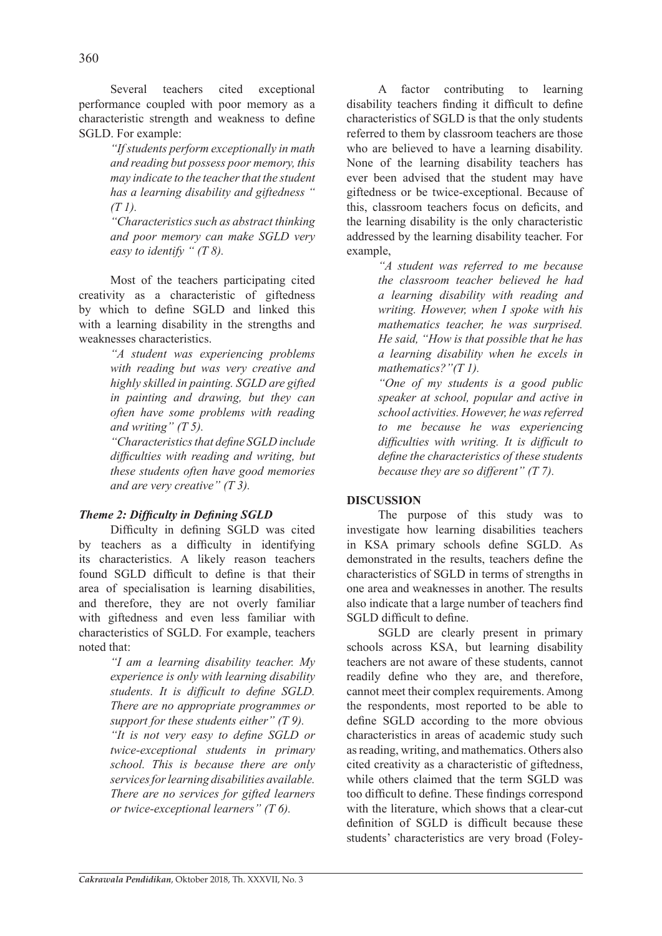Several teachers cited exceptional performance coupled with poor memory as a characteristic strength and weakness to define SGLD. For example:

> *"If students perform exceptionally in math and reading but possess poor memory, this may indicate to the teacher that the student has a learning disability and giftedness " (T 1).*

> *"Characteristics such as abstract thinking and poor memory can make SGLD very easy to identify " (T 8).*

Most of the teachers participating cited creativity as a characteristic of giftedness by which to define SGLD and linked this with a learning disability in the strengths and weaknesses characteristics.

> *"A student was experiencing problems with reading but was very creative and highly skilled in painting. SGLD are gifted in painting and drawing, but they can often have some problems with reading and writing" (T 5).*

> *"Characteristics that define SGLD include difficulties with reading and writing, but these students often have good memories and are very creative" (T 3).*

## *Theme 2: Difficulty in Defining SGLD*

Difficulty in defining SGLD was cited by teachers as a difficulty in identifying its characteristics. A likely reason teachers found SGLD difficult to define is that their area of specialisation is learning disabilities, and therefore, they are not overly familiar with giftedness and even less familiar with characteristics of SGLD. For example, teachers noted that:

> *"I am a learning disability teacher. My experience is only with learning disability students. It is difficult to define SGLD. There are no appropriate programmes or support for these students either" (T 9).*

> *"It is not very easy to define SGLD or twice-exceptional students in primary school. This is because there are only services for learning disabilities available. There are no services for gifted learners or twice-exceptional learners" (T 6).*

A factor contributing to learning disability teachers finding it difficult to define characteristics of SGLD is that the only students referred to them by classroom teachers are those who are believed to have a learning disability. None of the learning disability teachers has ever been advised that the student may have giftedness or be twice-exceptional. Because of this, classroom teachers focus on deficits, and the learning disability is the only characteristic addressed by the learning disability teacher. For example,

> *"A student was referred to me because the classroom teacher believed he had a learning disability with reading and writing. However, when I spoke with his mathematics teacher, he was surprised. He said, "How is that possible that he has a learning disability when he excels in mathematics?"(T 1).*

> *"One of my students is a good public speaker at school, popular and active in school activities. However, he was referred to me because he was experiencing difficulties with writing. It is difficult to define the characteristics of these students because they are so different" (T 7).*

## **DISCUSSION**

The purpose of this study was to investigate how learning disabilities teachers in KSA primary schools define SGLD. As demonstrated in the results, teachers define the characteristics of SGLD in terms of strengths in one area and weaknesses in another. The results also indicate that a large number of teachers find SGLD difficult to define.

SGLD are clearly present in primary schools across KSA, but learning disability teachers are not aware of these students, cannot readily define who they are, and therefore, cannot meet their complex requirements. Among the respondents, most reported to be able to define SGLD according to the more obvious characteristics in areas of academic study such as reading, writing, and mathematics. Others also cited creativity as a characteristic of giftedness, while others claimed that the term SGLD was too difficult to define. These findings correspond with the literature, which shows that a clear-cut definition of SGLD is difficult because these students' characteristics are very broad (Foley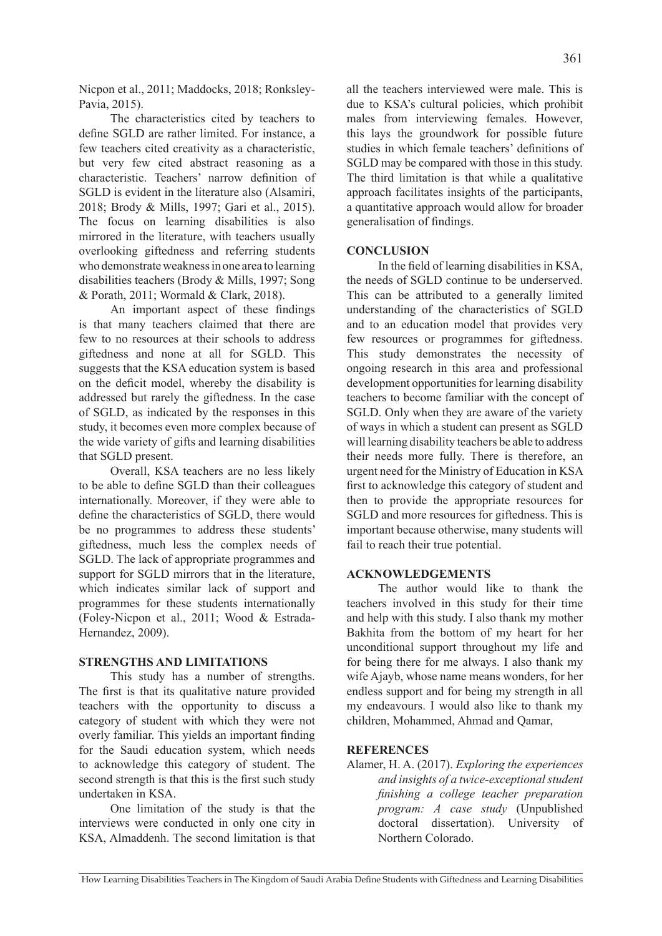Nicpon et al., 2011; Maddocks, 2018; Ronksley-Pavia, 2015).

The characteristics cited by teachers to define SGLD are rather limited. For instance, a few teachers cited creativity as a characteristic, but very few cited abstract reasoning as a characteristic. Teachers' narrow definition of SGLD is evident in the literature also (Alsamiri, 2018; Brody & Mills, 1997; Gari et al., 2015). The focus on learning disabilities is also mirrored in the literature, with teachers usually overlooking giftedness and referring students who demonstrate weakness in one area to learning disabilities teachers (Brody & Mills, 1997; Song & Porath, 2011; Wormald & Clark, 2018).

An important aspect of these findings is that many teachers claimed that there are few to no resources at their schools to address giftedness and none at all for SGLD. This suggests that the KSA education system is based on the deficit model, whereby the disability is addressed but rarely the giftedness. In the case of SGLD, as indicated by the responses in this study, it becomes even more complex because of the wide variety of gifts and learning disabilities that SGLD present.

Overall, KSA teachers are no less likely to be able to define SGLD than their colleagues internationally. Moreover, if they were able to define the characteristics of SGLD, there would be no programmes to address these students' giftedness, much less the complex needs of SGLD. The lack of appropriate programmes and support for SGLD mirrors that in the literature, which indicates similar lack of support and programmes for these students internationally (Foley-Nicpon et al., 2011; Wood & Estrada-Hernandez, 2009).

## **STRENGTHS AND LIMITATIONS**

This study has a number of strengths. The first is that its qualitative nature provided teachers with the opportunity to discuss a category of student with which they were not overly familiar. This yields an important finding for the Saudi education system, which needs to acknowledge this category of student. The second strength is that this is the first such study undertaken in KSA.

One limitation of the study is that the interviews were conducted in only one city in KSA, Almaddenh. The second limitation is that all the teachers interviewed were male. This is due to KSA's cultural policies, which prohibit males from interviewing females. However, this lays the groundwork for possible future studies in which female teachers' definitions of SGLD may be compared with those in this study. The third limitation is that while a qualitative approach facilitates insights of the participants, a quantitative approach would allow for broader generalisation of findings.

### **CONCLUSION**

In the field of learning disabilities in KSA, the needs of SGLD continue to be underserved. This can be attributed to a generally limited understanding of the characteristics of SGLD and to an education model that provides very few resources or programmes for giftedness. This study demonstrates the necessity of ongoing research in this area and professional development opportunities for learning disability teachers to become familiar with the concept of SGLD. Only when they are aware of the variety of ways in which a student can present as SGLD will learning disability teachers be able to address their needs more fully. There is therefore, an urgent need for the Ministry of Education in KSA first to acknowledge this category of student and then to provide the appropriate resources for SGLD and more resources for giftedness. This is important because otherwise, many students will fail to reach their true potential.

## **ACKNOWLEDGEMENTS**

The author would like to thank the teachers involved in this study for their time and help with this study. I also thank my mother Bakhita from the bottom of my heart for her unconditional support throughout my life and for being there for me always. I also thank my wife Ajayb, whose name means wonders, for her endless support and for being my strength in all my endeavours. I would also like to thank my children, Mohammed, Ahmad and Qamar,

## **REFERENCES**

Alamer, H. A. (2017). *Exploring the experiences and insights of a twice-exceptional student finishing a college teacher preparation program: A case study* (Unpublished doctoral dissertation). University of Northern Colorado.

How Learning Disabilities Teachers in The Kingdom of Saudi Arabia Define Students with Giftedness and Learning Disabilities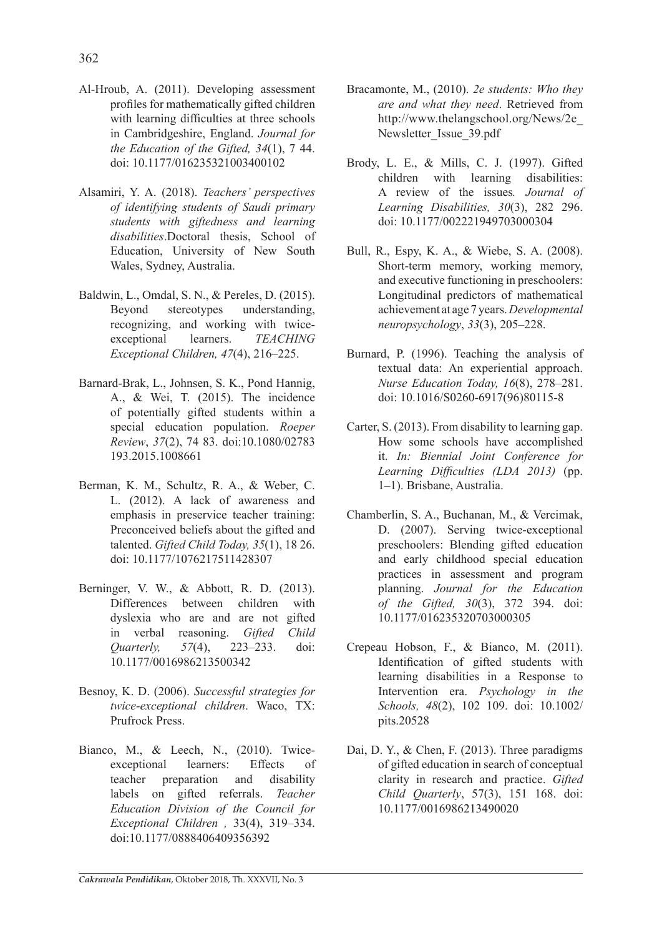- Al-Hroub, A. (2011). Developing assessment profiles for mathematically gifted children with learning difficulties at three schools in Cambridgeshire, England. *Journal for the Education of the Gifted, 34*(1), 7 44. doi: 10.1177/016235321003400102
- Alsamiri, Y. A. (2018). *Teachers' perspectives of identifying students of Saudi primary students with giftedness and learning disabilities*.Doctoral thesis, School of Education, University of New South Wales, Sydney, Australia.
- Baldwin, L., Omdal, S. N., & Pereles, D. (2015). Beyond stereotypes understanding, recognizing, and working with twiceexceptional learners. *TEACHING Exceptional Children, 47*(4), 216–225.
- Barnard-Brak, L., Johnsen, S. K., Pond Hannig, A., & Wei, T. (2015). The incidence of potentially gifted students within a special education population. *Roeper Review*, *37*(2), 74 83. doi:10.1080/02783 193.2015.1008661
- Berman, K. M., Schultz, R. A., & Weber, C. L. (2012). A lack of awareness and emphasis in preservice teacher training: Preconceived beliefs about the gifted and talented. *Gifted Child Today, 35*(1), 18 26. doi: 10.1177/1076217511428307
- Berninger, V. W., & Abbott, R. D. (2013). Differences between children with dyslexia who are and are not gifted in verbal reasoning. *Gifted Child Quarterly, 57*(4), 223–233. doi: 10.1177/0016986213500342
- Besnoy, K. D. (2006). *Successful strategies for twice-exceptional children*. Waco, TX: Prufrock Press.
- Bianco, M., & Leech, N., (2010). Twiceexceptional learners: Effects of teacher preparation and disability labels on gifted referrals. *Teacher Education Division of the Council for Exceptional Children ,* 33(4), 319–334. doi:10.1177/0888406409356392
- Bracamonte, M., (2010). *2e students: Who they are and what they need*. Retrieved from http://www.thelangschool.org/News/2e\_ Newsletter Issue 39.pdf
- Brody, L. E., & Mills, C. J. (1997). Gifted children with learning disabilities: A review of the issues*. Journal of Learning Disabilities, 30*(3), 282 296. doi: 10.1177/002221949703000304
- Bull, R., Espy, K. A., & Wiebe, S. A. (2008). Short-term memory, working memory, and executive functioning in preschoolers: Longitudinal predictors of mathematical achievement at age 7 years.*Developmental neuropsychology*, *33*(3), 205–228.
- Burnard, P. (1996). Teaching the analysis of textual data: An experiential approach. *Nurse Education Today, 16*(8), 278–281. doi: 10.1016/S0260-6917(96)80115-8
- Carter, S. (2013). From disability to learning gap. How some schools have accomplished it. *In: Biennial Joint Conference for Learning Difficulties (LDA 2013)* (pp. 1–1). Brisbane, Australia.
- Chamberlin, S. A., Buchanan, M., & Vercimak, D. (2007). Serving twice-exceptional preschoolers: Blending gifted education and early childhood special education practices in assessment and program planning. *Journal for the Education of the Gifted, 30*(3), 372 394. doi: 10.1177/016235320703000305
- Crepeau Hobson, F., & Bianco, M. (2011). Identification of gifted students with learning disabilities in a Response to Intervention era. *Psychology in the Schools, 48*(2), 102 109. doi: 10.1002/ pits.20528
- Dai, D. Y., & Chen, F. (2013). Three paradigms of gifted education in search of conceptual clarity in research and practice. *Gifted Child Quarterly*, 57(3), 151 168. doi: 10.1177/0016986213490020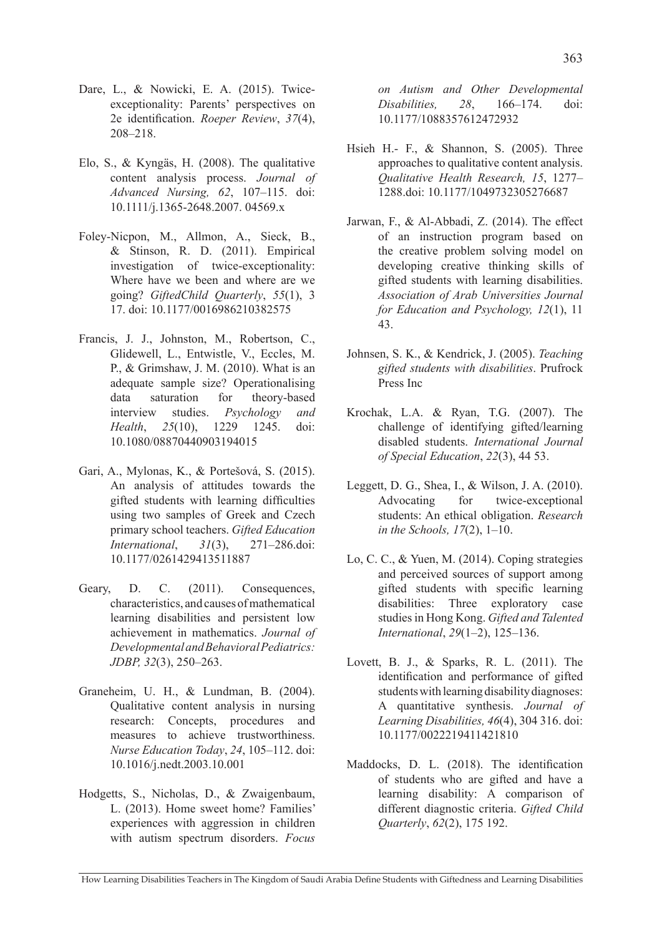- Dare, L., & Nowicki, E. A. (2015). Twiceexceptionality: Parents' perspectives on 2e identification. *Roeper Review*, *37*(4), 208–218.
- Elo, S., & Kyngäs, H. (2008). The qualitative content analysis process. *Journal of Advanced Nursing, 62*, 107–115. doi: 10.1111/j.1365-2648.2007. 04569.x
- Foley-Nicpon, M., Allmon, A., Sieck, B., & Stinson, R. D. (2011). Empirical investigation of twice-exceptionality: Where have we been and where are we going? *GiftedChild Quarterly*, *55*(1), 3 17. doi: 10.1177/0016986210382575
- Francis, J. J., Johnston, M., Robertson, C., Glidewell, L., Entwistle, V., Eccles, M. P., & Grimshaw, J. M. (2010). What is an adequate sample size? Operationalising data saturation for theory-based interview studies. *Psychology and Health*, *25*(10), 1229 1245. doi: 10.1080/08870440903194015
- Gari, A., Mylonas, K., & Portešová, S. (2015). An analysis of attitudes towards the gifted students with learning difficulties using two samples of Greek and Czech primary school teachers. *Gifted Education International*, *31*(3), 271–286.doi: 10.1177/0261429413511887
- Geary, D. C. (2011). Consequences, characteristics, and causes of mathematical learning disabilities and persistent low achievement in mathematics. *Journal of Developmental and Behavioral Pediatrics: JDBP, 32*(3), 250–263.
- Graneheim, U. H., & Lundman, B. (2004). Qualitative content analysis in nursing research: Concepts, procedures and measures to achieve trustworthiness. *Nurse Education Today*, *24*, 105–112. doi: 10.1016/j.nedt.2003.10.001
- Hodgetts, S., Nicholas, D., & Zwaigenbaum, L. (2013). Home sweet home? Families' experiences with aggression in children with autism spectrum disorders. *Focus*

*on Autism and Other Developmental Disabilities, 28*, 166–174. doi: 10.1177/1088357612472932

- Hsieh H.- F., & Shannon, S. (2005). Three approaches to qualitative content analysis. *Qualitative Health Research, 15*, 1277– 1288.doi: 10.1177/1049732305276687
- Jarwan, F., & Al-Abbadi, Z. (2014). The effect of an instruction program based on the creative problem solving model on developing creative thinking skills of gifted students with learning disabilities. *Association of Arab Universities Journal for Education and Psychology, 12*(1), 11 43.
- Johnsen, S. K., & Kendrick, J. (2005). *Teaching gifted students with disabilities*. Prufrock Press Inc
- Krochak, L.A. & Ryan, T.G. (2007). The challenge of identifying gifted/learning disabled students. *International Journal of Special Education*, *22*(3), 44 53.
- Leggett, D. G., Shea, I., & Wilson, J. A. (2010). Advocating for twice-exceptional students: An ethical obligation. *Research in the Schools, 17*(2), 1–10.
- Lo, C. C., & Yuen, M. (2014). Coping strategies and perceived sources of support among gifted students with specific learning disabilities: Three exploratory case studies in Hong Kong. *Gifted and Talented International*, *29*(1–2), 125–136.
- Lovett, B. J., & Sparks, R. L. (2011). The identification and performance of gifted students with learning disability diagnoses: A quantitative synthesis. *Journal of Learning Disabilities, 46*(4), 304 316. doi: 10.1177/0022219411421810
- Maddocks, D. L. (2018). The identification of students who are gifted and have a learning disability: A comparison of different diagnostic criteria. *Gifted Child Quarterly*, *62*(2), 175 192.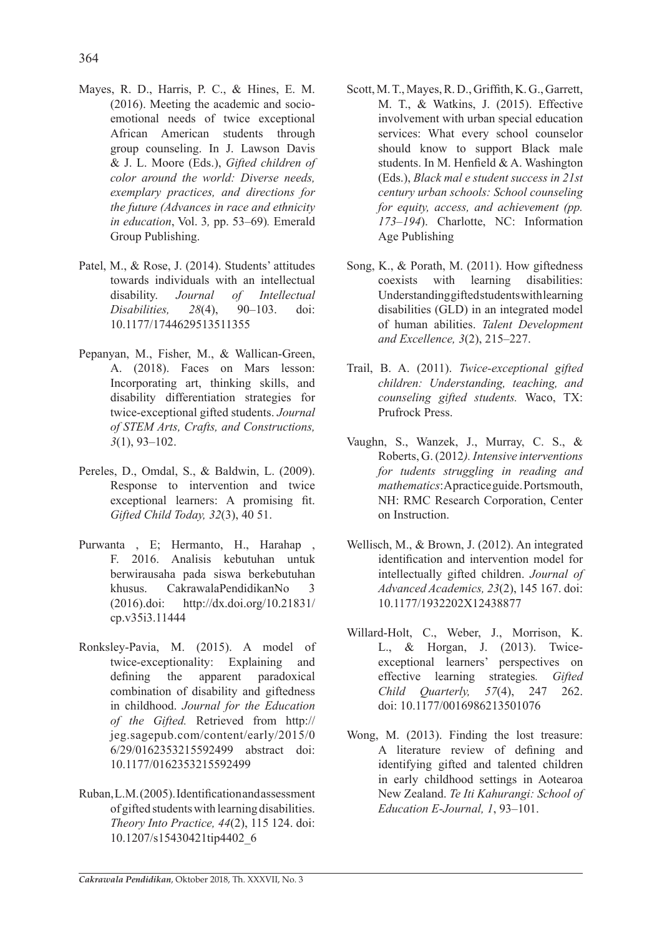- Mayes, R. D., Harris, P. C., & Hines, E. M. (2016). Meeting the academic and socioemotional needs of twice exceptional African American students through group counseling. In J. Lawson Davis & J. L. Moore (Eds.), *Gifted children of color around the world: Diverse needs, exemplary practices, and directions for the future (Advances in race and ethnicity in education*, Vol. 3*,* pp. 53–69)*.* Emerald Group Publishing.
- Patel, M., & Rose, J. (2014). Students' attitudes towards individuals with an intellectual disability. *Journal of Intellectual Disabilities, 28*(4), 90–103. doi: 10.1177/1744629513511355
- Pepanyan, M., Fisher, M., & Wallican-Green, A. (2018). Faces on Mars lesson: Incorporating art, thinking skills, and disability differentiation strategies for twice-exceptional gifted students. *Journal of STEM Arts, Crafts, and Constructions, 3*(1), 93–102.
- Pereles, D., Omdal, S., & Baldwin, L. (2009). Response to intervention and twice exceptional learners: A promising fit. *Gifted Child Today, 32*(3), 40 51.
- Purwanta , E; Hermanto, H., Harahap , F. 2016. Analisis kebutuhan untuk berwirausaha pada siswa berkebutuhan khusus. CakrawalaPendidikanNo 3 (2016).doi: http://dx.doi.org/10.21831/ cp.v35i3.11444
- Ronksley-Pavia, M. (2015). A model of twice-exceptionality: Explaining and defining the apparent paradoxical combination of disability and giftedness in childhood. *Journal for the Education of the Gifted.* Retrieved from http:// jeg.sagepub.com/content/early/2015/0 6/29/0162353215592499 abstract doi: 10.1177/0162353215592499
- Ruban, L.M. (2005). Identification and assessment of gifted students with learning disabilities. *Theory Into Practice, 44*(2), 115 124. doi: 10.1207/s15430421tip4402\_6
- Scott, M. T., Mayes, R. D., Griffith, K. G., Garrett, M. T., & Watkins, J. (2015). Effective involvement with urban special education services: What every school counselor should know to support Black male students. In M. Henfield & A. Washington (Eds.), *Black mal e student success in 21st century urban schools: School counseling for equity, access, and achievement (pp. 173–194*). Charlotte, NC: Information Age Publishing
- Song, K., & Porath, M. (2011). How giftedness coexists with learning disabilities: Understanding gifted students with learning disabilities (GLD) in an integrated model of human abilities. *Talent Development and Excellence, 3*(2), 215–227.
- Trail, B. A. (2011). *Twice-exceptional gifted children: Understanding, teaching, and counseling gifted students.* Waco, TX: Prufrock Press.
- Vaughn, S., Wanzek, J., Murray, C. S., & Roberts, G. (2012*). Intensive interventions for tudents struggling in reading and mathematics*: A practice guide. Portsmouth, NH: RMC Research Corporation, Center on Instruction.
- Wellisch, M., & Brown, J. (2012). An integrated identification and intervention model for intellectually gifted children. *Journal of Advanced Academics, 23*(2), 145 167. doi: 10.1177/1932202X12438877
- Willard-Holt, C., Weber, J., Morrison, K. L., & Horgan, J. (2013). Twiceexceptional learners' perspectives on effective learning strategies*. Gifted Child Quarterly, 57*(4), 247 262. doi: 10.1177/0016986213501076
- Wong, M. (2013). Finding the lost treasure: A literature review of defining and identifying gifted and talented children in early childhood settings in Aotearoa New Zealand. *Te Iti Kahurangi: School of Education E-Journal, 1*, 93–101.